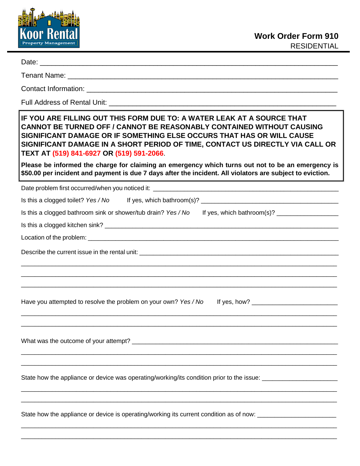

Date: \_\_\_\_\_\_\_\_\_\_\_\_\_\_\_\_\_\_\_\_\_\_\_\_\_\_\_\_\_\_\_\_\_\_\_\_\_\_\_\_\_\_\_\_\_\_\_\_\_\_\_\_\_\_\_\_\_\_\_\_\_\_\_\_\_\_\_\_\_\_\_\_\_\_\_\_

Tenant Name: \_\_\_\_\_\_\_\_\_\_\_\_\_\_\_\_\_\_\_\_\_\_\_\_\_\_\_\_\_\_\_\_\_\_\_\_\_\_\_\_\_\_\_\_\_\_\_\_\_\_\_\_\_\_\_\_\_\_\_\_\_\_\_\_\_\_\_\_\_

Contact Information: \_\_\_\_\_\_\_\_\_\_\_\_\_\_\_\_\_\_\_\_\_\_\_\_\_\_\_\_\_\_\_\_\_\_\_\_\_\_\_\_\_\_\_\_\_\_\_\_\_\_\_\_\_\_\_\_\_\_\_\_\_\_\_\_

Full Address of Rental Unit:

## **IF YOU ARE FILLING OUT THIS FORM DUE TO: A WATER LEAK AT A SOURCE THAT CANNOT BE TURNED OFF / CANNOT BE REASONABLY CONTAINED WITHOUT CAUSING SIGNIFICANT DAMAGE OR IF SOMETHING ELSE OCCURS THAT HAS OR WILL CAUSE SIGNIFICANT DAMAGE IN A SHORT PERIOD OF TIME, CONTACT US DIRECTLY VIA CALL OR TEXT AT (519) 841-6927 OR (519) 591-2066**.

**Please be informed the charge for claiming an emergency which turns out not to be an emergency is \$50.00 per incident and payment is due 7 days after the incident. All violators are subject to eviction.**

Date problem first occurred/when you noticed it:

| Is this a clogged bathroom sink or shower/tub drain? Yes / No                                                  |
|----------------------------------------------------------------------------------------------------------------|
|                                                                                                                |
|                                                                                                                |
|                                                                                                                |
| ,我们也不能在这里的,我们也不能在这里的人,我们也不能在这里的人,我们也不能在这里的人,我们也不能在这里的人,我们也不能在这里的人,我们也不能在这里的人,我们也                               |
| Have you attempted to resolve the problem on your own? Yes / No                                                |
|                                                                                                                |
| State how the appliance or device was operating/working/its condition prior to the issue: ____________________ |
| State how the appliance or device is operating/working its current condition as of now: ______________________ |

 $\_$  ,  $\_$  ,  $\_$  ,  $\_$  ,  $\_$  ,  $\_$  ,  $\_$  ,  $\_$  ,  $\_$  ,  $\_$  ,  $\_$  ,  $\_$  ,  $\_$  ,  $\_$  ,  $\_$  ,  $\_$  ,  $\_$  ,  $\_$  ,  $\_$  ,  $\_$  ,  $\_$  ,  $\_$  ,  $\_$  ,  $\_$  ,  $\_$  ,  $\_$  ,  $\_$  ,  $\_$  ,  $\_$  ,  $\_$  ,  $\_$  ,  $\_$  ,  $\_$  ,  $\_$  ,  $\_$  ,  $\_$  ,  $\_$  ,